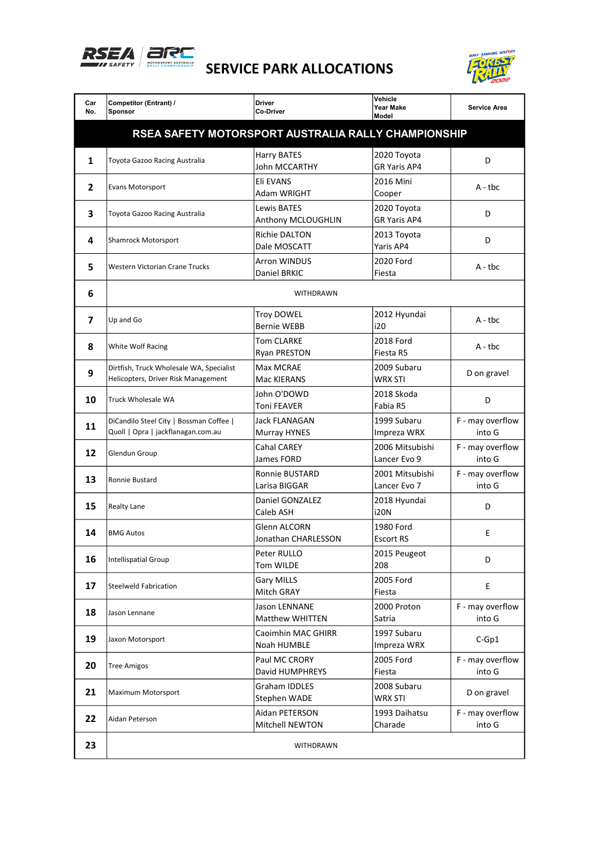



| Car<br>No.                                          | Competitor (Entrant) /<br><b>Sponsor</b>                                        | <b>Driver</b><br>Co-Driver              | Vehicle<br>Year Make<br>Model      | <b>Service Area</b>        |  |  |  |
|-----------------------------------------------------|---------------------------------------------------------------------------------|-----------------------------------------|------------------------------------|----------------------------|--|--|--|
| RSEA SAFETY MOTORSPORT AUSTRALIA RALLY CHAMPIONSHIP |                                                                                 |                                         |                                    |                            |  |  |  |
| 1                                                   | Toyota Gazoo Racing Australia                                                   | Harry BATES<br>John MCCARTHY            | 2020 Toyota<br>GR Yaris AP4        | D                          |  |  |  |
| 2                                                   | Evans Motorsport                                                                | Eli EVANS<br>Adam WRIGHT                | 2016 Mini<br>Cooper                | $A - tbc$                  |  |  |  |
| 3                                                   | Toyota Gazoo Racing Australia                                                   | Lewis BATES<br>Anthony MCLOUGHLIN       | 2020 Toyota<br><b>GR Yaris AP4</b> | D                          |  |  |  |
| 4                                                   | Shamrock Motorsport                                                             | Richie DALTON<br>Dale MOSCATT           | 2013 Toyota<br>Yaris AP4           | D                          |  |  |  |
| 5                                                   | Western Victorian Crane Trucks                                                  | <b>Arron WINDUS</b><br>Daniel BRKIC     | 2020 Ford<br>Fiesta                | $A - tbc$                  |  |  |  |
| 6                                                   | <b>WITHDRAWN</b>                                                                |                                         |                                    |                            |  |  |  |
| 7                                                   | Up and Go                                                                       | <b>Troy DOWEL</b><br><b>Bernie WEBB</b> | 2012 Hyundai<br>i20                | $A - tbc$                  |  |  |  |
| 8                                                   | White Wolf Racing                                                               | Tom CLARKE<br><b>Ryan PRESTON</b>       | 2018 Ford<br>Fiesta R5             | A - tbc                    |  |  |  |
| 9                                                   | Dirtfish, Truck Wholesale WA, Specialist<br>Helicopters, Driver Risk Management | Max MCRAE<br>Mac KIERANS                | 2009 Subaru<br>WRX STI             | D on gravel                |  |  |  |
| 10                                                  | Truck Wholesale WA                                                              | John O'DOWD<br>Toni FEAVER              | 2018 Skoda<br>Fabia R5             | D                          |  |  |  |
| 11                                                  | DiCandilo Steel City   Bossman Coffee  <br>Quoll   Opra   jackflanagan.com.au   | Jack FLANAGAN<br>Murray HYNES           | 1999 Subaru<br>Impreza WRX         | F - may overflow<br>into G |  |  |  |
| 12                                                  | Glendun Group                                                                   | <b>Cahal CAREY</b><br>James FORD        | 2006 Mitsubishi<br>Lancer Evo 9    | F - may overflow<br>into G |  |  |  |
| 13                                                  | Ronnie Bustard                                                                  | Ronnie BUSTARD<br>Larisa BIGGAR         | 2001 Mitsubishi<br>Lancer Evo 7    | F - may overflow<br>into G |  |  |  |
| 15                                                  | <b>Realty Lane</b>                                                              | Daniel GONZALEZ<br>Caleb ASH            | 2018 Hyundai<br><b>i20N</b>        | D                          |  |  |  |
| 14                                                  | <b>BMG Autos</b>                                                                | Glenn ALCORN<br>Jonathan CHARLESSON     | 1980 Ford<br><b>Escort RS</b>      | E                          |  |  |  |
| 16                                                  | <b>Intellispatial Group</b>                                                     | Peter RULLO<br>Tom WILDE                | 2015 Peugeot<br>208                | D                          |  |  |  |
| 17                                                  | <b>Steelweld Fabrication</b>                                                    | Gary MILLS<br>Mitch GRAY                | 2005 Ford<br>Fiesta                | E                          |  |  |  |
| 18                                                  | Jason Lennane                                                                   | Jason LENNANE<br><b>Matthew WHITTEN</b> | 2000 Proton<br>Satria              | F - may overflow<br>into G |  |  |  |
| 19                                                  | Jaxon Motorsport                                                                | Caoimhin MAC GHIRR<br>Noah HUMBLE       | 1997 Subaru<br>Impreza WRX         | $C-Gp1$                    |  |  |  |
| 20                                                  | <b>Tree Amigos</b>                                                              | Paul MC CRORY<br>David HUMPHREYS        | 2005 Ford<br>Fiesta                | F - may overflow<br>into G |  |  |  |
| 21                                                  | Maximum Motorsport                                                              | Graham IDDLES<br>Stephen WADE           | 2008 Subaru<br><b>WRX STI</b>      | D on gravel                |  |  |  |
| 22                                                  | Aidan Peterson                                                                  | Aidan PETERSON<br>Mitchell NEWTON       | 1993 Daihatsu<br>Charade           | F - may overflow<br>into G |  |  |  |
| 23                                                  |                                                                                 | WITHDRAWN                               |                                    |                            |  |  |  |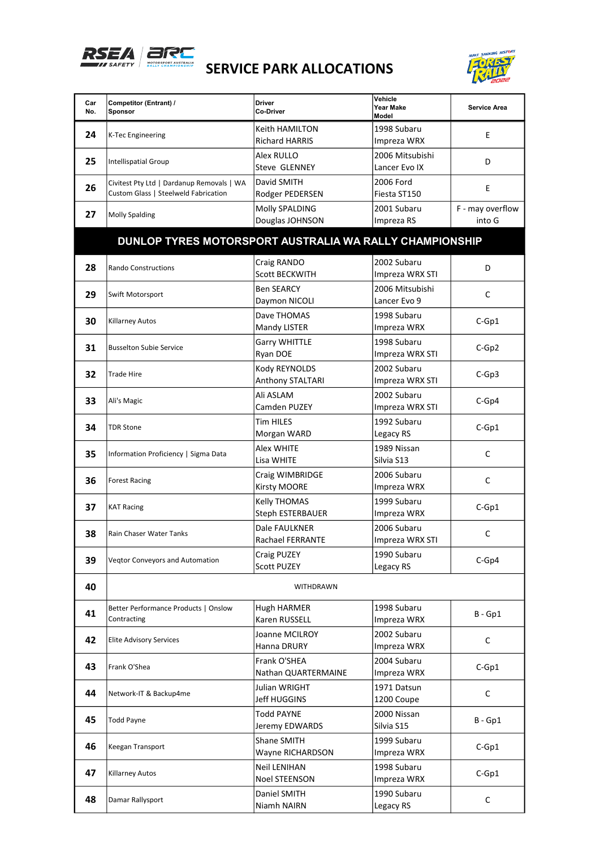



| Car<br>No. | Competitor (Entrant) /<br>Sponsor                                                 | <b>Driver</b><br>Co-Driver                  | Vehicle<br>Year Make<br>Model    | <b>Service Area</b>        |
|------------|-----------------------------------------------------------------------------------|---------------------------------------------|----------------------------------|----------------------------|
| 24         | <b>K-Tec Engineering</b>                                                          | Keith HAMILTON<br><b>Richard HARRIS</b>     | 1998 Subaru<br>Impreza WRX       | E                          |
| 25         | <b>Intellispatial Group</b>                                                       | Alex RULLO<br><b>Steve GLENNEY</b>          | 2006 Mitsubishi<br>Lancer Evo IX | D                          |
| 26         | Civitest Pty Ltd   Dardanup Removals   WA<br>Custom Glass   Steelweld Fabrication | David SMITH<br>Rodger PEDERSEN              | 2006 Ford<br>Fiesta ST150        | E                          |
| 27         | <b>Molly Spalding</b>                                                             | Molly SPALDING<br>Douglas JOHNSON           | 2001 Subaru<br>Impreza RS        | F - may overflow<br>into G |
|            | DUNLOP TYRES MOTORSPORT AUSTRALIA WA RALLY CHAMPIONSHIP                           |                                             |                                  |                            |
| 28         | Rando Constructions                                                               | Craig RANDO<br><b>Scott BECKWITH</b>        | 2002 Subaru<br>Impreza WRX STI   | D                          |
| 29         | Swift Motorsport                                                                  | <b>Ben SEARCY</b><br>Daymon NICOLI          | 2006 Mitsubishi<br>Lancer Evo 9  | C                          |
| 30         | <b>Killarney Autos</b>                                                            | Dave THOMAS<br>Mandy LISTER                 | 1998 Subaru<br>Impreza WRX       | $C-Gp1$                    |
| 31         | <b>Busselton Subie Service</b>                                                    | <b>Garry WHITTLE</b><br>Ryan DOE            | 1998 Subaru<br>Impreza WRX STI   | $C-Gp2$                    |
| 32         | <b>Trade Hire</b>                                                                 | Kody REYNOLDS<br>Anthony STALTARI           | 2002 Subaru<br>Impreza WRX STI   | $C-Gp3$                    |
| 33         | Ali's Magic                                                                       | Ali ASLAM<br>Camden PUZEY                   | 2002 Subaru<br>Impreza WRX STI   | $C-Gp4$                    |
| 34         | <b>TDR Stone</b>                                                                  | <b>Tim HILES</b><br>Morgan WARD             | 1992 Subaru<br>Legacy RS         | $C-Gp1$                    |
| 35         | Information Proficiency   Sigma Data                                              | <b>Alex WHITE</b><br>Lisa WHITE             | 1989 Nissan<br>Silvia S13        | $\mathsf C$                |
| 36         | <b>Forest Racing</b>                                                              | Craig WIMBRIDGE<br>Kirsty MOORE             | 2006 Subaru<br>Impreza WRX       | $\mathsf C$                |
| 37         | <b>KAT Racing</b>                                                                 | Kelly THOMAS<br><b>Steph ESTERBAUER</b>     | 1999 Subaru<br>Impreza WRX       | $C-Gp1$                    |
| 38         | <b>Rain Chaser Water Tanks</b>                                                    | Dale FAULKNER<br><b>Rachael FERRANTE</b>    | 2006 Subaru<br>Impreza WRX STI   | C                          |
| 39         | <b>Vegtor Conveyors and Automation</b>                                            | Craig PUZEY<br><b>Scott PUZEY</b>           | 1990 Subaru<br>Legacy RS         | $C-Gp4$                    |
| 40         |                                                                                   | <b>WITHDRAWN</b>                            |                                  |                            |
| 41         | Better Performance Products   Onslow<br>Contracting                               | <b>Hugh HARMER</b><br>Karen RUSSELL         | 1998 Subaru<br>Impreza WRX       | $B - Gp1$                  |
| 42         | <b>Elite Advisory Services</b>                                                    | Joanne MCILROY<br>Hanna DRURY               | 2002 Subaru<br>Impreza WRX       | C                          |
| 43         | Frank O'Shea                                                                      | Frank O'SHEA<br>Nathan QUARTERMAINE         | 2004 Subaru<br>Impreza WRX       | $C-Gp1$                    |
| 44         | Network-IT & Backup4me                                                            | Julian WRIGHT<br>Jeff HUGGINS               | 1971 Datsun<br>1200 Coupe        | C                          |
| 45         | <b>Todd Payne</b>                                                                 | <b>Todd PAYNE</b><br>Jeremy EDWARDS         | 2000 Nissan<br>Silvia S15        | $B - Gp1$                  |
| 46         | Keegan Transport                                                                  | Shane SMITH<br>Wayne RICHARDSON             | 1999 Subaru<br>Impreza WRX       | $C-Gp1$                    |
| 47         | Killarney Autos                                                                   | <b>Neil LENIHAN</b><br><b>Noel STEENSON</b> | 1998 Subaru<br>Impreza WRX       | $C-Gp1$                    |
| 48         | Damar Rallysport                                                                  | Daniel SMITH<br>Niamh NAIRN                 | 1990 Subaru<br>Legacy RS         | C                          |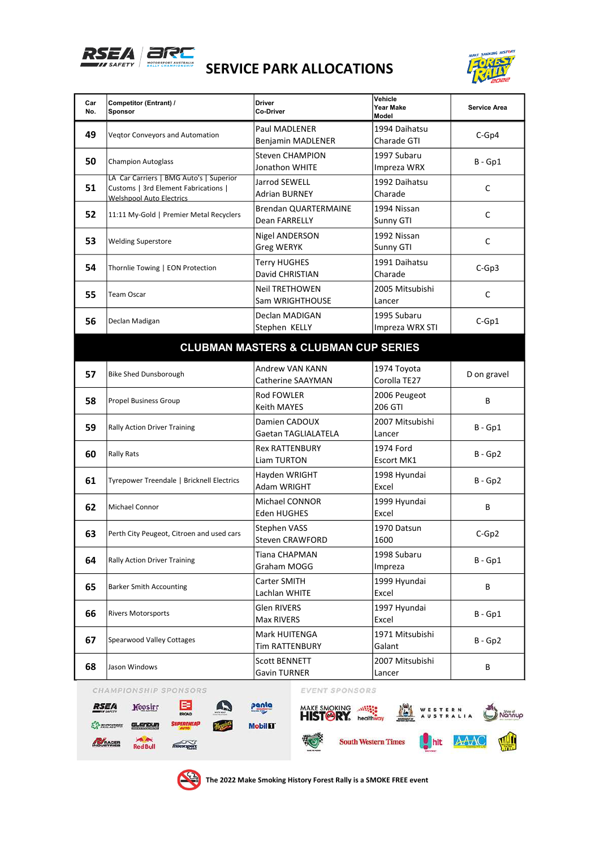

## SERVICE PARK ALLOCATIONS



| Car<br>No. | Competitor (Entrant) /<br>Sponsor                                                                                  | <b>Driver</b><br>Co-Driver                         | Vehicle<br>Year Make<br>Model  | <b>Service Area</b> |  |  |  |
|------------|--------------------------------------------------------------------------------------------------------------------|----------------------------------------------------|--------------------------------|---------------------|--|--|--|
| 49         | <b>Vegtor Conveyors and Automation</b>                                                                             | <b>Paul MADLENER</b><br>Benjamin MADLENER          | 1994 Daihatsu<br>Charade GTI   | $C-Gp4$             |  |  |  |
| 50         | <b>Champion Autoglass</b>                                                                                          | <b>Steven CHAMPION</b><br>Jonathon WHITE           | 1997 Subaru<br>Impreza WRX     | $B - Gp1$           |  |  |  |
| 51         | LA Car Carriers   BMG Auto's   Superior<br>Customs   3rd Element Fabrications  <br><b>Welshoool Auto Electrics</b> | Jarrod SEWELL<br>Adrian BURNEY                     | 1992 Daihatsu<br>Charade       | C                   |  |  |  |
| 52         | 11:11 My-Gold   Premier Metal Recyclers                                                                            | <b>Brendan QUARTERMAINE</b><br>Dean FARRELLY       | 1994 Nissan<br>Sunny GTI       | C                   |  |  |  |
| 53         | <b>Welding Superstore</b>                                                                                          | Nigel ANDERSON<br><b>Greg WERYK</b>                | 1992 Nissan<br>Sunny GTI       | C                   |  |  |  |
| 54         | Thornlie Towing   EON Protection                                                                                   | <b>Terry HUGHES</b><br>David CHRISTIAN             | 1991 Daihatsu<br>Charade       | $C-Gp3$             |  |  |  |
| 55         | <b>Team Oscar</b>                                                                                                  | <b>Neil TRETHOWEN</b><br>Sam WRIGHTHOUSE           | 2005 Mitsubishi<br>Lancer      | C                   |  |  |  |
| 56         | Declan Madigan                                                                                                     | Declan MADIGAN<br>Stephen KELLY                    | 1995 Subaru<br>Impreza WRX STI | $C-Gp1$             |  |  |  |
|            | <b>CLUBMAN MASTERS &amp; CLUBMAN CUP SERIES</b>                                                                    |                                                    |                                |                     |  |  |  |
| 57         | <b>Bike Shed Dunsborough</b>                                                                                       | <b>Andrew VAN KANN</b><br><b>Catherine SAAYMAN</b> | 1974 Toyota<br>Corolla TE27    | D on gravel         |  |  |  |
| 58         | <b>Propel Business Group</b>                                                                                       | Rod FOWLER<br>Keith MAYES                          | 2006 Peugeot<br>206 GTI        | В                   |  |  |  |
| 59         | <b>Rally Action Driver Training</b>                                                                                | Damien CADOUX<br><b>Gaetan TAGLIALATELA</b>        | 2007 Mitsubishi<br>Lancer      | $B - Gp1$           |  |  |  |
| 60         | <b>Rally Rats</b>                                                                                                  | <b>Rex RATTENBURY</b><br><b>Liam TURTON</b>        | 1974 Ford<br><b>Escort MK1</b> | $B - Gp2$           |  |  |  |
| 61         | Tyrepower Treendale   Bricknell Electrics                                                                          | Hayden WRIGHT<br>Adam WRIGHT                       | 1998 Hyundai<br>Excel          | $B - Gp2$           |  |  |  |
| 62         | <b>Michael Connor</b>                                                                                              | Michael CONNOR<br>Eden HUGHES                      | 1999 Hyundai<br>Excel          | В                   |  |  |  |
| 63         | Perth City Peugeot, Citroen and used cars                                                                          | Stephen VASS<br>Steven CRAWFORD                    | 1970 Datsun<br>1600            | $C-Gp2$             |  |  |  |
| 64         | <b>Rally Action Driver Training</b>                                                                                | Tiana CHAPMAN<br>Graham MOGG                       | 1998 Subaru<br>Impreza         | $B - Gp1$           |  |  |  |
| 65         | <b>Barker Smith Accounting</b>                                                                                     | Carter SMITH<br>Lachlan WHITE                      | 1999 Hyundai<br>Excel          | В                   |  |  |  |
| 66         | <b>Rivers Motorsports</b>                                                                                          | <b>Glen RIVERS</b><br>Max RIVERS                   | 1997 Hyundai<br>Excel          | $B - Gp1$           |  |  |  |
| 67         | Spearwood Valley Cottages                                                                                          | Mark HUITENGA<br><b>Tim RATTENBURY</b>             | 1971 Mitsubishi<br>Galant      | $B - Gp2$           |  |  |  |
| 68         | Jason Windows                                                                                                      | <b>Scott BENNETT</b><br><b>Gavin TURNER</b>        | 2007 Mitsubishi<br>Lancer      | В                   |  |  |  |



 $a$  enoun

**Sex And**<br>Red Bull

**EN mentions** 

MOUSTRIES



panta







The 2022 Make Smoking History Forest Rally is a SMOKE FREE event